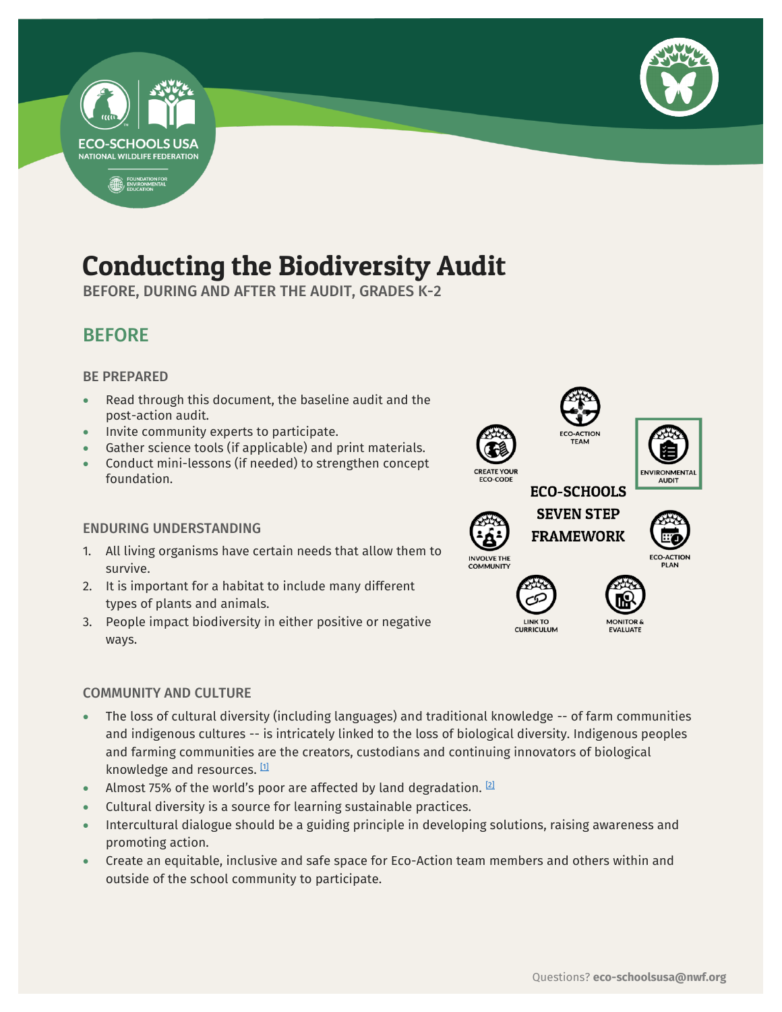

# **ECO-SCHOOLS USA NATIONAL WILDLIFE FEDERATION** FOUNDATION FOR

# Conducting the Biodiversity Audit

-

BEFORE, DURING AND AFTER THE AUDIT, GRADES K-2

## BEFORE

#### BE PREPARED

- Read through this document, the baseline audit and the post-action audit.
- Invite community experts to participate.
- Gather science tools (if applicable) and print materials.
- Conduct mini-lessons (if needed) to strengthen concept foundation.

#### ENDURING UNDERSTANDING

- 1. All living organisms have certain needs that allow them to survive.
- 2. It is important for a habitat to include many different types of plants and animals.
- 3. People impact biodiversity in either positive or negative ways.

#### COMMUNITY AND CULTURE

- The loss of cultural diversity (including languages) and traditional knowledge -- of farm communities and indigenous cultures -- is intricately linked to the loss of biological diversity. Indigenous peoples and farming communities are the creators, custodians and continuing innovators of biological knowledge and resources. [\[1\]](https://www.etcgroup.org/issues/biodiversity-cultural-diversity)
- Almost 75% of the world's poor are affected by land degradation.  $[2]$
- Cultural diversity is a source for learning sustainable practices.
- Intercultural dialogue should be a guiding principle in developing solutions, raising awareness and promoting action.
- Create an equitable, inclusive and safe space for Eco-Action team members and others within and outside of the school community to participate.









**INVOLVE THE** 





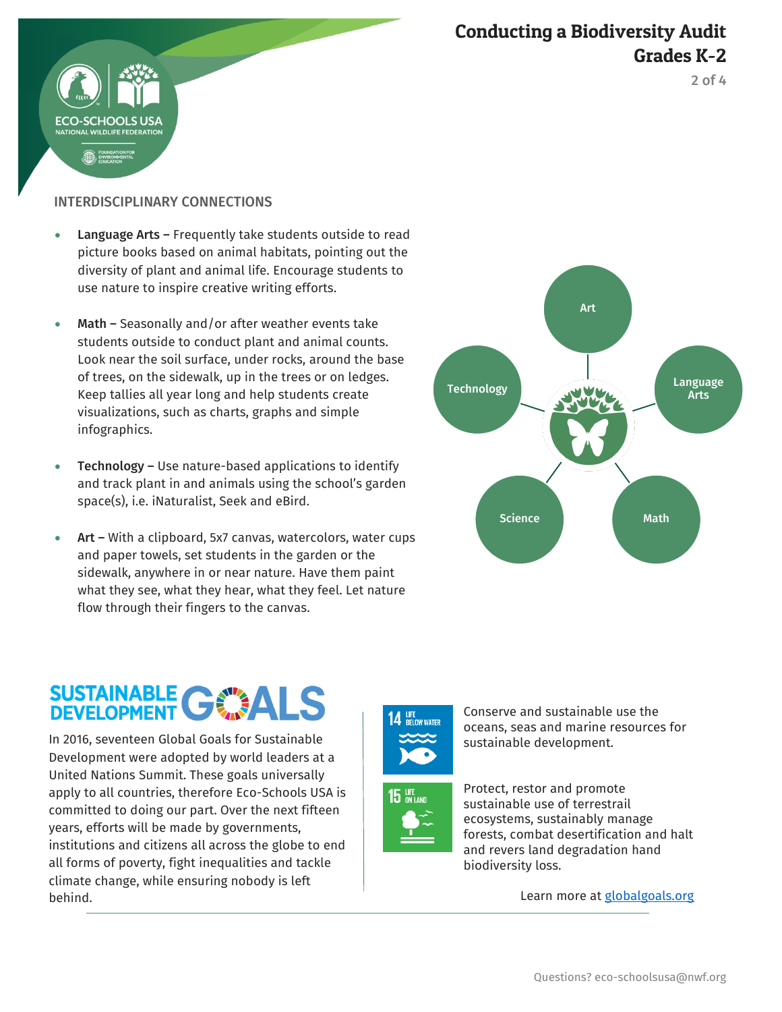





#### INTERDISCIPLINARY CONNECTIONS

- Language Arts Frequently take students outside to read picture books based on animal habitats, pointing out the diversity of plant and animal life. Encourage students to use nature to inspire creative writing efforts.
- Math Seasonally and/or after weather events take students outside to conduct plant and animal counts. Look near the soil surface, under rocks, around the base of trees, on the sidewalk, up in the trees or on ledges. Keep tallies all year long and help students create visualizations, such as charts, graphs and simple infographics.
- Technology Use nature-based applications to identify and track plant in and animals using the school's garden space(s), i.e. iNaturalist, Seek and eBird.
- Art With a clipboard, 5x7 canvas, watercolors, water cups and paper towels, set students in the garden or the sidewalk, anywhere in or near nature. Have them paint what they see, what they hear, what they feel. Let nature flow through their fingers to the canvas.



# SUSTAINABLE GWALS

In 2016, seventeen Global Goals for Sustainable Development were adopted by world leaders at a United Nations Summit. These goals universally apply to all countries, therefore Eco-Schools USA is committed to doing our part. Over the next fifteen years, efforts will be made by governments, institutions and citizens all across the globe to end all forms of poverty, fight inequalities and tackle climate change, while ensuring nobody is left behind.





Conserve and sustainable use the oceans, seas and marine resources for sustainable development.

Protect, restor and promote sustainable use of terrestrail ecosystems, sustainably manage forests, combat desertification and halt and revers land degradation hand biodiversity loss.

Learn more at **globalgoals.org**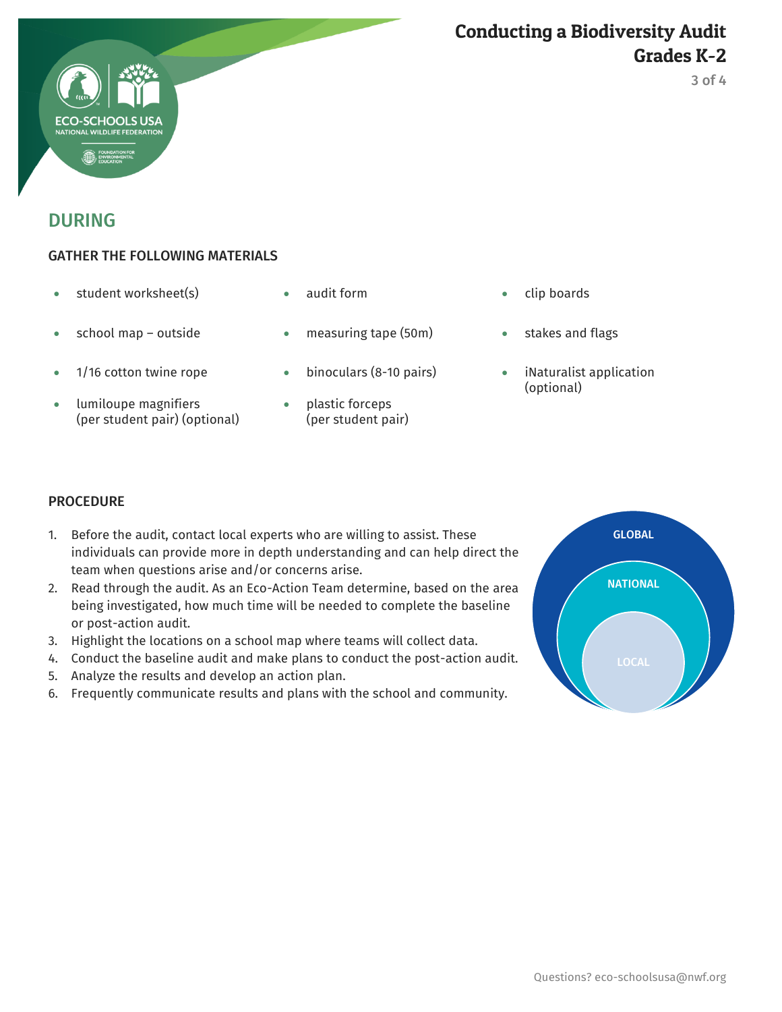



#### GATHER THE FOLLOWING MATERIALS

- student worksheet(s) audit form clip boards
- 
- 
- lumiloupe magnifiers (per student pair) (optional)
- 
- school map outside measuring tape (50m) stakes and flags
- 1/16 cotton twine rope binoculars (8-10 pairs) iNaturalist application
	- plastic forceps (per student pair)
- 
- 
- (optional)

#### **PROCEDURE**

- 1. Before the audit, contact local experts who are willing to assist. These individuals can provide more in depth understanding and can help direct the team when questions arise and/or concerns arise.
- 2. Read through the audit. As an Eco-Action Team determine, based on the area being investigated, how much time will be needed to complete the baseline or post-action audit.
- 3. Highlight the locations on a school map where teams will collect data.
- 4. Conduct the baseline audit and make plans to conduct the post-action audit.
- 5. Analyze the results and develop an action plan.
- 6. Frequently communicate results and plans with the school and community.